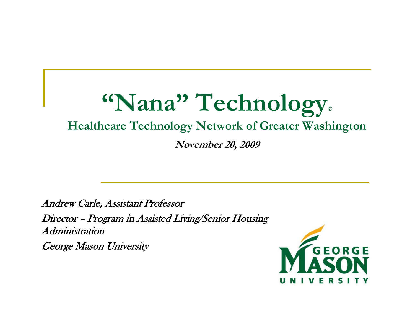#### **"Nana" Technology ©**

#### **Healthcare Technology Network of Greater Washington**

**November 20, 2009**

Andrew Carle, Assistant Professor

Director – Program in Assisted Living/Senior Housing Administration

George Mason University

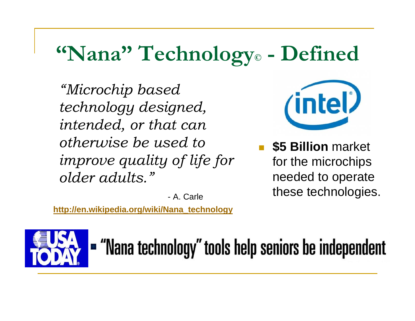#### **"Nana" Technology © - Defined**

*"Microchip based technology designed, intended, or that can otherwise be used to improve quality of life for older adults."*

- A. Carle

**http://en.wikipedia.org/wiki/Nana\_technology**



 **\$5 Billion** market for the microchips needed to operate these technologies.



- "Nana technology" tools help seniors be independent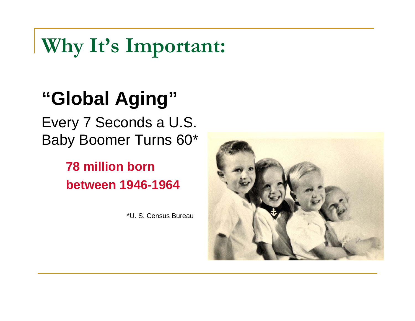## **Why It's Important:**

## **"Global Aging"**

Every 7 Seconds a U.S. Baby Boomer Turns 60\*

### **78 million bornbetween 1946-1964**

\*U. S. Census Bureau

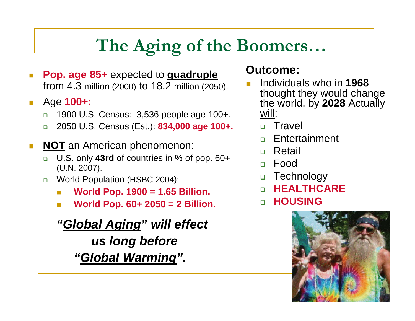## **The Aging of the Boomers…**

- $\mathcal{C}^{\mathcal{A}}$  **Pop. age 85+** expected to **quadruple** from 4.3 million (2000) to 18.2 million (2050).
- $\mathcal{L}_{\mathcal{A}}$  Age **100+:**
	- $\Box$ 1900 U.S. Census: 3,536 people age 100+.
	- $\Box$ 2050 U.S. Census (Est.): **834,000 age 100+.**
- $\mathcal{C}^{\mathcal{A}}$  **NOT** an American phenomenon:
	- U.S. only **43rd** of countries in % of pop. 60+ (U.N. 2007).
	- $\Box$  World Population (HSBC 2004):
		- $\overline{\mathcal{A}}$ **World Pop. 1900 = 1.65 Billion.**
		- **The State World Pop. 60+ 2050 = 2 Billion.**

*"Global Aging" will effect us long before "Global Warming".*

#### **Outcome:**

- Individuals who in **1968** thought they would change the world, by **2028** Actually will:
	- □ Travel
	- □ Entertainment
	- □ Retail
	- Food
	- □ Technology
	- **HEALTHCARE**
	- **HOUSING**

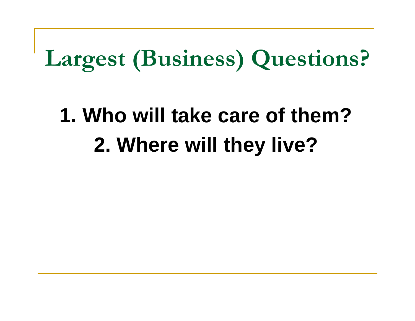# **Largest (Business) Questions?**

## **1. Who will take care of them?2. Where will they live?**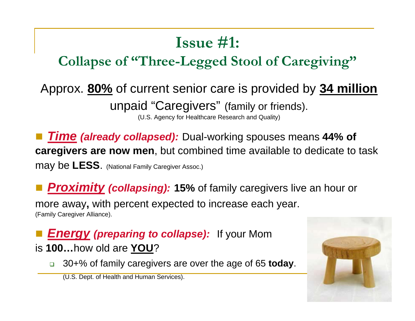## **Issue #1:**

### **Collapse of "Three-Legged Stool of Caregiving"**

## Approx. **80%** of current senior care is provided by **34 million**

unpaid "Caregivers" (family or friends).

(U.S. Agency for Healthcare Research and Quality)

 *Time (already collapsed):* Dual-working spouses means **44% of caregivers are now men**, but combined time available to dedicate to task may be **LESS**. (National Family Caregiver Assoc.)

**Proximity (collapsing): 15%** of family caregivers live an hour or

more away**,** with percent expected to increase each year. (Family Caregiver Alliance).

*Energy (preparing to collapse):* If your Mom is **100…**how old are **YOU**?

30+% of family caregivers are over the age of 65 **today**.

(U.S. Dept. of Health and Human Services).

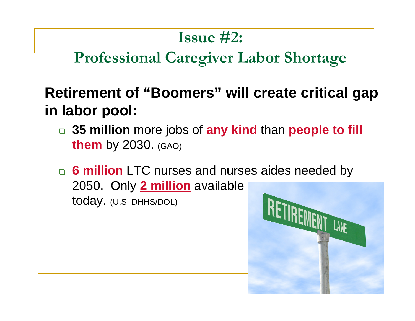### **Issue #2:**

## **Professional Caregiver Labor Shortage**

### **Retirement of "Boomers" will create critical gap in labor pool:**

- **35 million** more jobs of **any kind** than **people to fill them** by 2030. (GAO)
- **6 million** LTC nurses and nurses aides needed by 2050. Only **2 million** available today. (U.S. DHHS/DOL)

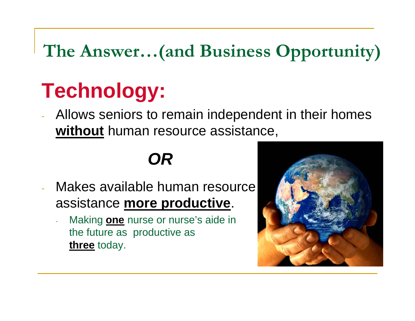## **The Answer…(and Business Opportunity)**

## **Technology:**

 Allows seniors to remain independent in their homes **without** human resource assistance,

## *OR*

- Makes available human resource assistance **more productive**.
	- Making **one** nurse or nurse's aide in the future as productive as **three** today.

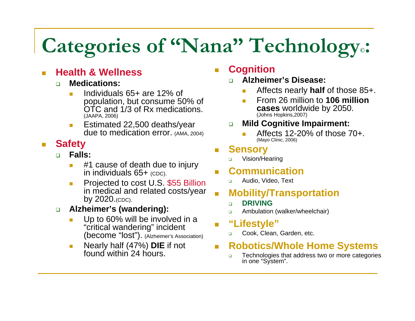#### **Categories of "Nana" Technology © :**

#### П **Health & Wellness**

- $\Box$  **Medications:**
	- п Individuals 65+ are 12% of population, but consume 50% of OTC and 1/3 of Rx medications. (JAAPA, 2006)
	- $\blacksquare$  Estimated 22,500 deaths/year due to medication error. (AMA, 2004)

#### $\mathbb{R}^3$ **Safety**

- $\Box$  **Falls:**
	- п #1 cause of death due to injury in individuals 65+ (CDC).
	- ш Projected to cost U.S. \$55 Billion in medical and related costs/year by 2020.(CDC).
- $\Box$  **Alzheimer's (wandering):**
	- Up to 60% will be involved in a "critical wandering" incident (become "lost"). (Alzheimer's Association)
	- $\mathcal{C}^{\mathcal{A}}$  Nearly half (47%) **DIE** if not found within 24 hours.

#### **Cognition**

- $\Box$  **Alzheimer's Disease:**
	- Affects nearly **half** of those 85+.
	- From 26 million to **106 million cases** worldwide by 2050.<br><sub>(Johns Hopkins,2007)</sub>
- $\Box$  **Mild Cognitive Impairment:**
	- Affects 12-20% of those 70+. (Mayo Clinic, 2006)

#### **Sensory**

 $\Box$ Vision/Hearing

#### **Communication**

 $\Box$ Audio, Video, Text

#### **Mobility/Transportation**

- $\Box$ **DRIVING**
- $\Box$ Ambulation (walker/wheelchair)
- **"Lifestyle"**
	- $\Box$ Cook, Clean, Garden, etc.

#### **Robotics/Whole Home Systems**

 $\Box$ Technologies that address two or more categories in one "System".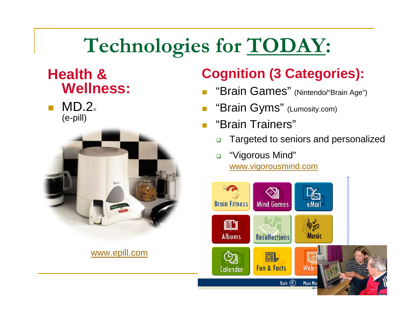#### **Technologies for TODAY :**

### **Health & Wellness:**

 $\overline{\mathbb{R}}$ ■ MD.2。 (e-pill)



www.epill.com

### **Cognition (3 Categories):**

- П "Brain Games" (Nintendo/"Brain Age")
- **Tale** "Brain Gyms" (Lumosity.com)
- П "Brain Trainers"
	- $\Box$ Targeted to seniors and personalized
	- $\Box$  "Vigorous Mind" www.vigorousmind.com

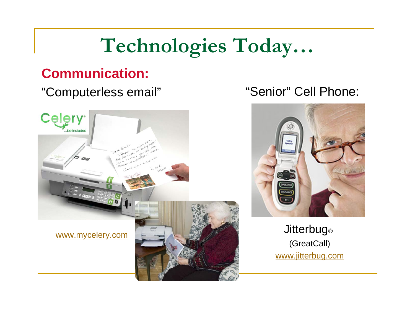## **Technologies Today…**

### **Communication:**

#### "Computerless email"



#### "Senior" Cell Phone:



Jitterbug ® (GreatCall) www.jitterbug.com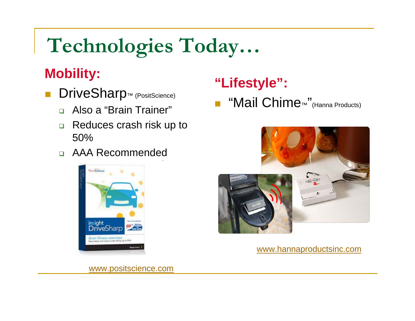## **Technologies Today…**

### **Mobility:**

- DriveSharp<sup>™</sup> (PositScience)
	- $\Box$ Also a "Brain Trainer"
	- $\Box$  Reduces crash risk up to 50%
	- AAA Recommended



## **"Lifestyle":**

■ "Mail Chime<sub>™</sub> "(Hanna Products)



www.hannaproductsinc.com

www.positscience.com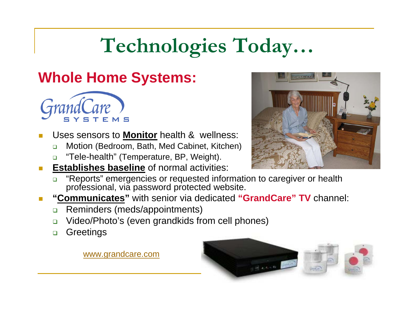## **Technologies Today…**

### **Whole Home Systems:**



- Uses sensors to **Monitor** health & wellness:
	- $\Box$ Motion (Bedroom, Bath, Med Cabinet, Kitchen)
	- $\Box$ "Tele-health" (Temperature, BP, Weight).
- **Establishes baseline** of normal activities:
	- $\Box$  "Reports" emergencies or requested information to caregiver or health professional, via password protected website.
- **E** "Communicates" with senior via dedicated "GrandCare" TV channel:
	- $\Box$ Reminders (meds/appointments)
	- $\Box$ Video/Photo's (even grandkids from cell phones)
	- $\Box$ **Greetings**

www.grandcare.com



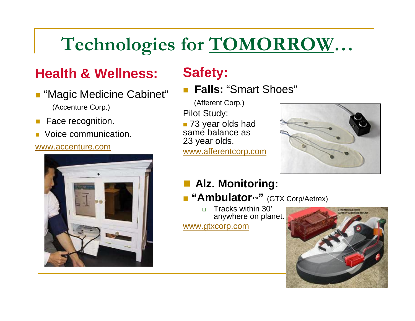#### **Technologies for TOMORROW …**

### **Health & Wellness:**

- "Magic Medicine Cabinet" (Accenture Corp.)
- × Face recognition.
- Voice communication.

#### www.accenture.com



### **Safety:**

П **Falls:** "Smart Shoes"

(Afferent Corp.)

Pilot Study:

 73 year olds had same balance as 23 year olds.

www.afferentcorp.com



#### **Alz. Monitoring:**

 **"Ambulator ™ "** (GTX Corp/Aetrex)

 $\Box$  Tracks within 30' anywhere on planet. www.gtxcorp.com

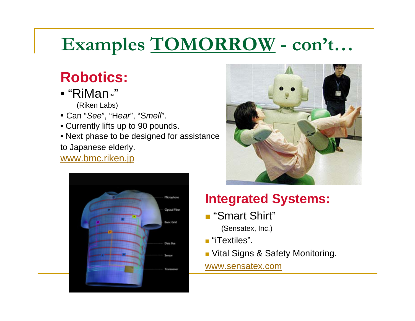## **Examples TOMORROW - con't…**

### **Robotics:**

- "RiMan™"(Riken Labs)
- Can "*See*", "H*ear*", "S*mell*".
- Currently lifts up to 90 pounds.
- Next phase to be designed for assistance to Japanese elderly.

#### www.bmc.riken.jp





### **Integrated Systems:**

- "Smart Shirt"
	- (Sensatex, Inc.)
- "iTextiles".
- **D** Vital Signs & Safety Monitoring.

#### www.sensatex.com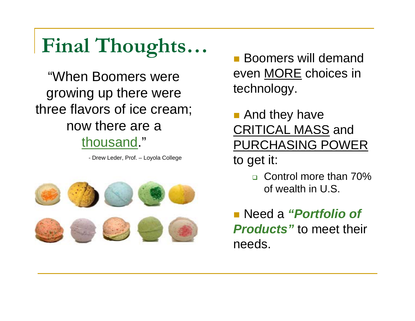## **Final Thoughts…**

"When Boomers were growing up there were three flavors of ice cream; now there are a thousand."

- Drew Leder, Prof. – Loyola College



- Boomers will demand even MORE choices in technology.
- And they have CRITICAL MASS and PURCHASING POWER to get it:
	- Control more than 70% of wealth in U.S.
- Need a *"Portfolio of Products"* to meet their needs.